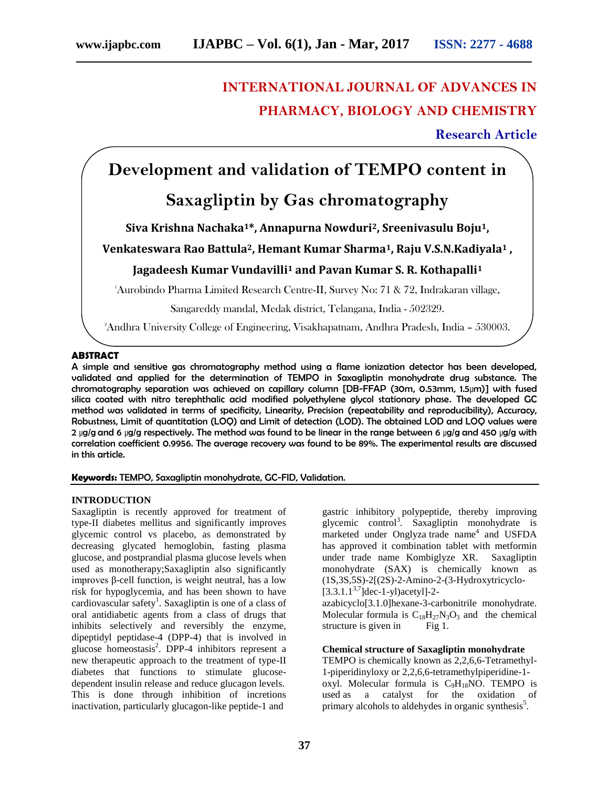# **INTERNATIONAL JOURNAL OF ADVANCES IN PHARMACY, BIOLOGY AND CHEMISTRY**

**Research Article**

# **Development and validation of TEMPO content in**

# **Saxagliptin by Gas chromatography**

# **Siva Krishna Nachaka1\*, Annapurna Nowduri2, Sreenivasulu Boju1,**

# **Venkateswara Rao Battula2, Hemant Kumar Sharma1, Raju V.S.N.Kadiyala<sup>1</sup> ,**

# **Jagadeesh Kumar Vundavilli<sup>1</sup> and Pavan Kumar S. R. Kothapalli<sup>1</sup>**

<sup>1</sup>Aurobindo Pharma Limited Research Centre-II, Survey No: 71 & 72, Indrakaran village,

Sangareddy mandal, Medak district, Telangana, India - 502329.

<sup>2</sup>Andhra University College of Engineering, Visakhapatnam, Andhra Pradesh, India – 530003.

## **ABSTRACT**

A simple and sensitive gas chromatography method using a flame ionization detector has been developed, validated and applied for the determination of TEMPO in Saxagliptin monohydrate drug substance. The chromatography separation was achieved on capillary column [DB-FFAP (30m, 0.53mm, 1.5µm)] with fused silica coated with nitro terephthalic acid modified polyethylene glycol stationary phase. The developed GC method was validated in terms of specificity, Linearity, Precision (repeatability and reproducibility), Accuracy, Robustness, Limit of quantitation (LOQ) and Limit of detection (LOD). The obtained LOD and LOQ values were 2 µg/g and 6 µg/g respectively. The method was found to be linear in the range between 6 µg/g and 450 µg/g with correlation coefficient 0.9956. The average recovery was found to be 89%. The experimental results are discussed in this article.

# **Keywords:** TEMPO, Saxagliptin monohydrate, GC-FID, Validation.

# **INTRODUCTION**

Saxagliptin is recently approved for treatment of type-II diabetes mellitus and significantly improves glycemic control vs placebo, as demonstrated by decreasing glycated hemoglobin, fasting plasma glucose, and postprandial plasma glucose levels when used as monotherapy;Saxagliptin also significantly improves β-cell function, is weight neutral, has a low risk for hypoglycemia, and has been shown to have cardiovascular safety<sup>1</sup>. Saxagliptin is one of a class of oral antidiabetic agents from a class of drugs that inhibits selectively and reversibly the enzyme, dipeptidyl peptidase-4 (DPP-4) that is involved in glucose homeostasis<sup>2</sup>. DPP-4 inhibitors represent a new therapeutic approach to the treatment of type-II diabetes that functions to stimulate glucosedependent insulin release and reduce glucagon levels. This is done through inhibition of incretions inactivation, particularly glucagon-like peptide-1 and

gastric inhibitory polypeptide, thereby improving glycemic control<sup>3</sup>. Saxagliptin monohydrate is marketed under Onglyza trade name<sup>4</sup> and USFDA has approved it combination tablet with metformin under trade name Kombiglyze XR. Saxagliptin monohydrate (SAX) is chemically known as (1S,3S,5S)-2[(2S)-2-Amino-2-(3-Hydroxytricyclo-

 $[3.3.1.1^{3.7}]$ dec-1-yl)acetyl]-2-

azabicyclo[3.1.0]hexane-3-carbonitrile monohydrate. Molecular formula is  $C_{18}H_{27}N_3O_3$  and the chemical structure is given in Fig 1.

#### **Chemical structure of Saxagliptin monohydrate**

TEMPO is chemically known as 2,2,6,6-Tetramethyl-1-piperidinyloxy or 2,2,6,6-tetramethylpiperidine-1 oxyl. Molecular formula is  $C_9H_{18}NO$ . TEMPO is used as a catalyst for the oxidation of for the oxidation of primary [alcohols](https://en.wikipedia.org/wiki/Alcohol) to [aldehydes](https://en.wikipedia.org/wiki/Aldehyde) in organic synthesis<sup>5</sup>.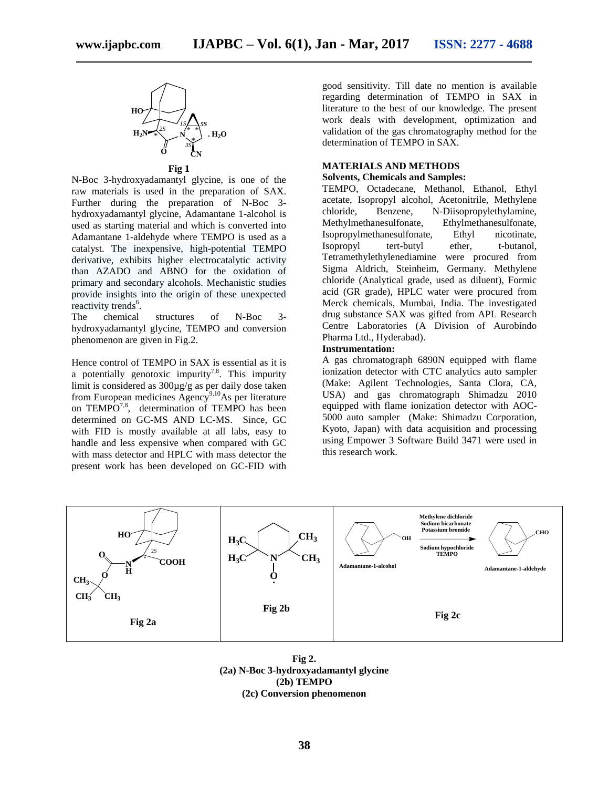

**Fig 1**

N-Boc 3-hydroxyadamantyl glycine, is one of the raw materials is used in the preparation of SAX. Further during the preparation of N-Boc 3 hydroxyadamantyl glycine, Adamantane 1-alcohol is used as starting material and which is converted into Adamantane 1-aldehyde where TEMPO is used as a catalyst. The inexpensive, high-potential TEMPO derivative, exhibits higher electrocatalytic activity than AZADO and ABNO for the oxidation of primary and secondary alcohols. Mechanistic studies provide insights into the origin of these unexpected reactivity trends<sup>6</sup>.

The chemical structures of N-Boc 3 hydroxyadamantyl glycine, TEMPO and conversion phenomenon are given in Fig.2.

Hence control of TEMPO in SAX is essential as it is a potentially genotoxic impurity<sup>7,8</sup>. This impurity limit is considered as 300µg/g as per daily dose taken from European medicines  $\overrightarrow{Agency}^{9,10}$ As per literature on TEMPO<sup>7,8</sup>, determination of TEMPO has been determined on GC-MS AND LC-MS. Since, GC with FID is mostly available at all labs, easy to handle and less expensive when compared with GC with mass detector and HPLC with mass detector the present work has been developed on GC-FID with

good sensitivity. Till date no mention is available regarding determination of TEMPO in SAX in literature to the best of our knowledge. The present work deals with development, optimization and validation of the gas chromatography method for the determination of TEMPO in SAX.

# **MATERIALS AND METHODS**

## **Solvents, Chemicals and Samples:**

TEMPO, Octadecane, Methanol, Ethanol, Ethyl acetate, Isopropyl alcohol, Acetonitrile, Methylene chloride, Benzene, N-Diisopropylethylamine, Methylmethanesulfonate, Ethylmethanesulfonate, Isopropylmethanesulfonate, Ethyl nicotinate, Isopropyl tert-butyl ether, t-butanol, Tetramethylethylenediamine were procured from Sigma Aldrich, Steinheim, Germany. Methylene chloride (Analytical grade, used as diluent), Formic acid (GR grade), HPLC water were procured from Merck chemicals, Mumbai, India. The investigated drug substance SAX was gifted from APL Research Centre Laboratories (A Division of Aurobindo Pharma Ltd., Hyderabad).

## **Instrumentation:**

A gas chromatograph 6890N equipped with flame ionization detector with CTC analytics auto sampler (Make: Agilent Technologies, Santa Clora, CA, USA) and gas chromatograph Shimadzu 2010 equipped with flame ionization detector with AOC-5000 auto sampler (Make: Shimadzu Corporation, Kyoto, Japan) with data acquisition and processing using Empower 3 Software Build 3471 were used in this research work.



**Fig 2. (2a) N-Boc 3-hydroxyadamantyl glycine (2b) TEMPO (2c) Conversion phenomenon**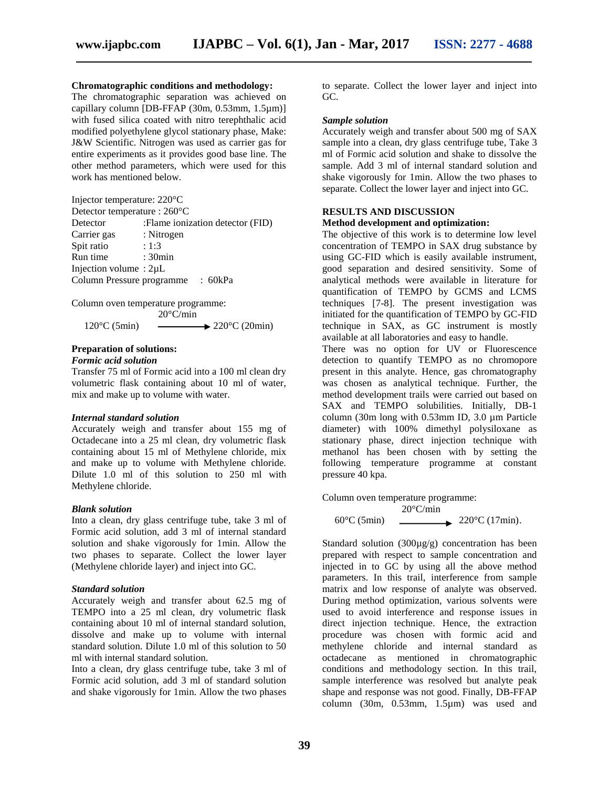## **Chromatographic conditions and methodology:**

The chromatographic separation was achieved on capillary column [DB-FFAP (30m, 0.53mm, 1.5µm)] with fused silica coated with nitro terephthalic acid modified polyethylene glycol stationary phase, Make: J&W Scientific. Nitrogen was used as carrier gas for entire experiments as it provides good base line. The other method parameters, which were used for this work has mentioned below.

Injector temperature: 220°C Detector temperature : 260°C Detector :Flame ionization detector (FID) Carrier gas : Nitrogen<br>Spit ratio : 1:3 Spit ratio Run time : 30min Injection volume : 2µL Column Pressure programme : 60kPa

Column oven temperature programme:  $20^{\circ}$ C/min

 $120^{\circ}$ C (5min)  $\longrightarrow$   $220^{\circ}$ C (20min)

#### **Preparation of solutions:**

### *Formic acid solution*

Transfer 75 ml of Formic acid into a 100 ml clean dry volumetric flask containing about 10 ml of water, mix and make up to volume with water.

#### *Internal standard solution*

Accurately weigh and transfer about 155 mg of Octadecane into a 25 ml clean, dry volumetric flask containing about 15 ml of Methylene chloride, mix and make up to volume with Methylene chloride. Dilute 1.0 ml of this solution to 250 ml with Methylene chloride.

#### *Blank solution*

Into a clean, dry glass centrifuge tube, take 3 ml of Formic acid solution, add 3 ml of internal standard solution and shake vigorously for 1min. Allow the two phases to separate. Collect the lower layer (Methylene chloride layer) and inject into GC.

#### *Standard solution*

Accurately weigh and transfer about 62.5 mg of TEMPO into a 25 ml clean, dry volumetric flask containing about 10 ml of internal standard solution, dissolve and make up to volume with internal standard solution. Dilute 1.0 ml of this solution to 50 ml with internal standard solution.

Into a clean, dry glass centrifuge tube, take 3 ml of Formic acid solution, add 3 ml of standard solution and shake vigorously for 1min. Allow the two phases

to separate. Collect the lower layer and inject into GC.

#### *Sample solution*

Accurately weigh and transfer about 500 mg of SAX sample into a clean, dry glass centrifuge tube, Take 3 ml of Formic acid solution and shake to dissolve the sample. Add 3 ml of internal standard solution and shake vigorously for 1min. Allow the two phases to separate. Collect the lower layer and inject into GC.

# **RESULTS AND DISCUSSION**

**Method development and optimization:**

The objective of this work is to determine low level concentration of TEMPO in SAX drug substance by using GC-FID which is easily available instrument, good separation and desired sensitivity. Some of analytical methods were available in literature for quantification of TEMPO by GCMS and LCMS techniques [7-8]. The present investigation was initiated for the quantification of TEMPO by GC-FID technique in SAX, as GC instrument is mostly available at all laboratories and easy to handle.

There was no option for UV or Fluorescence detection to quantify TEMPO as no chromopore present in this analyte. Hence, gas chromatography was chosen as analytical technique. Further, the method development trails were carried out based on SAX and TEMPO solubilities. Initially, DB-1 column  $(30m \text{ long with } 0.53 \text{ mm} \text{ ID}, 3.0 \text{ um Particle})$ diameter) with 100% dimethyl polysiloxane as stationary phase, direct injection technique with methanol has been chosen with by setting the following temperature programme at constant pressure 40 kpa.

Column oven temperature programme:

$$
20^{\circ}\text{C/min}
$$
\n
$$
60^{\circ}\text{C (5min)}
$$
\n
$$
220^{\circ}\text{C (17min)}.
$$

Standard solution (300µg/g) concentration has been prepared with respect to sample concentration and injected in to GC by using all the above method parameters. In this trail, interference from sample matrix and low response of analyte was observed. During method optimization, various solvents were used to avoid interference and response issues in direct injection technique. Hence, the extraction procedure was chosen with formic acid and methylene chloride and internal standard as octadecane as mentioned in chromatographic conditions and methodology section. In this trail, sample interference was resolved but analyte peak shape and response was not good. Finally, DB-FFAP column (30m, 0.53mm, 1.5µm) was used and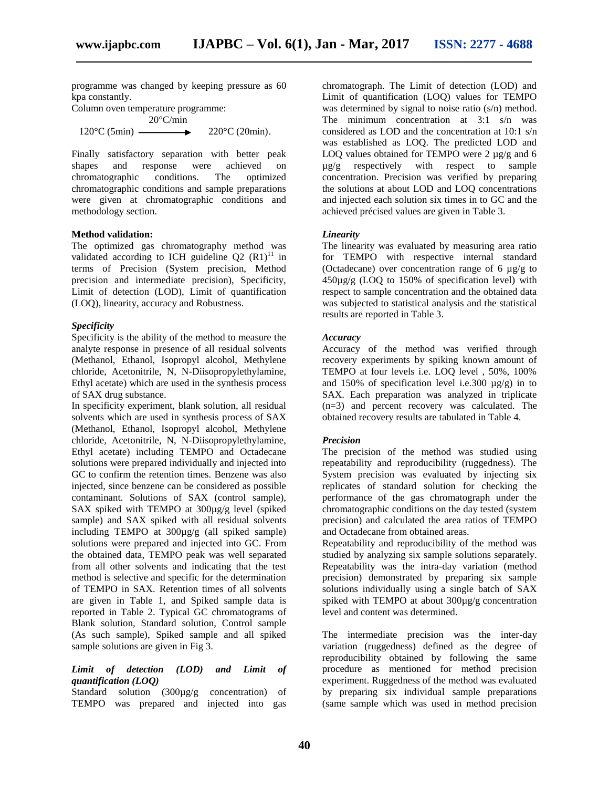programme was changed by keeping pressure as 60 kpa constantly.

Column oven temperature programme: 20°C/min  $120^{\circ}$ C (5min)  $\longrightarrow$   $220^{\circ}$ C (20min).

Finally satisfactory separation with better peak shapes and response were achieved on chromatographic conditions. The optimized chromatographic conditions and sample preparations were given at chromatographic conditions and methodology section.

## **Method validation:**

The optimized gas chromatography method was validated according to ICH guideline  $Q2 (R1)^{11}$  in terms of Precision (System precision, Method precision and intermediate precision), Specificity, Limit of detection (LOD), Limit of quantification (LOQ), linearity, accuracy and Robustness.

### *Specificity*

Specificity is the ability of the method to measure the analyte response in presence of all residual solvents (Methanol, Ethanol, Isopropyl alcohol, Methylene chloride, Acetonitrile, N, N-Diisopropylethylamine, Ethyl acetate) which are used in the synthesis process of SAX drug substance.

In specificity experiment, blank solution, all residual solvents which are used in synthesis process of SAX (Methanol, Ethanol, Isopropyl alcohol, Methylene chloride, Acetonitrile, N, N-Diisopropylethylamine, Ethyl acetate) including TEMPO and Octadecane solutions were prepared individually and injected into GC to confirm the retention times. Benzene was also injected, since benzene can be considered as possible contaminant. Solutions of SAX (control sample), SAX spiked with TEMPO at 300µg/g level (spiked sample) and SAX spiked with all residual solvents including TEMPO at 300µg/g (all spiked sample) solutions were prepared and injected into GC. From the obtained data, TEMPO peak was well separated from all other solvents and indicating that the test method is selective and specific for the determination of TEMPO in SAX. Retention times of all solvents are given in Table 1, and Spiked sample data is reported in Table 2. Typical GC chromatograms of Blank solution, Standard solution, Control sample (As such sample), Spiked sample and all spiked sample solutions are given in Fig 3.

# *Limit of detection (LOD) and Limit of quantification (LOQ)*

Standard solution (300µg/g concentration) of TEMPO was prepared and injected into gas

chromatograph. The Limit of detection (LOD) and Limit of quantification (LOQ) values for TEMPO was determined by signal to noise ratio  $(s/n)$  method. The minimum concentration at 3:1 s/n was considered as LOD and the concentration at 10:1 s/n was established as LOQ. The predicted LOD and LOQ values obtained for TEMPO were  $2 \mu g/g$  and 6 µg/g respectively with respect to sample concentration. Precision was verified by preparing the solutions at about LOD and LOQ concentrations and injected each solution six times in to GC and the achieved précised values are given in Table 3.

### *Linearity*

The linearity was evaluated by measuring area ratio for TEMPO with respective internal standard (Octadecane) over concentration range of 6  $\mu$ g/g to 450µg/g (LOQ to 150% of specification level) with respect to sample concentration and the obtained data was subjected to statistical analysis and the statistical results are reported in Table 3.

#### *Accuracy*

Accuracy of the method was verified through recovery experiments by spiking known amount of TEMPO at four levels i.e. LOQ level , 50%, 100% and 150% of specification level i.e. 300  $\mu$ g/g) in to SAX. Each preparation was analyzed in triplicate (n=3) and percent recovery was calculated. The obtained recovery results are tabulated in Table 4.

#### *Precision*

The precision of the method was studied using repeatability and reproducibility (ruggedness). The System precision was evaluated by injecting six replicates of standard solution for checking the performance of the gas chromatograph under the chromatographic conditions on the day tested (system precision) and calculated the area ratios of TEMPO and Octadecane from obtained areas.

Repeatability and reproducibility of the method was studied by analyzing six sample solutions separately. Repeatability was the intra-day variation (method precision) demonstrated by preparing six sample solutions individually using a single batch of SAX spiked with TEMPO at about 300µg/g concentration level and content was determined.

The intermediate precision was the inter-day variation (ruggedness) defined as the degree of reproducibility obtained by following the same procedure as mentioned for method precision experiment. Ruggedness of the method was evaluated by preparing six individual sample preparations (same sample which was used in method precision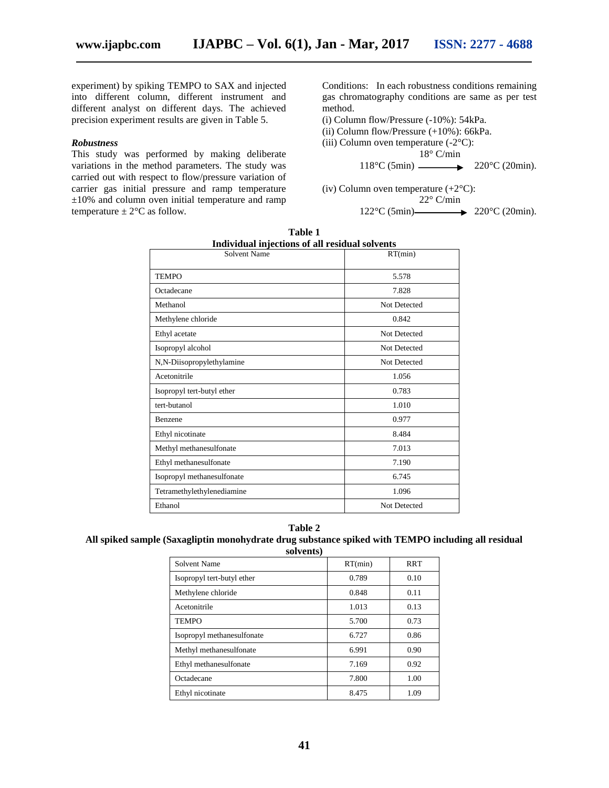experiment) by spiking TEMPO to SAX and injected into different column, different instrument and different analyst on different days. The achieved precision experiment results are given in Table 5.

#### *Robustness*

This study was performed by making deliberate variations in the method parameters. The study was carried out with respect to flow/pressure variation of carrier gas initial pressure and ramp temperature  $\pm 10\%$  and column oven initial temperature and ramp temperature  $\pm 2^{\circ}$ C as follow.

Conditions: In each robustness conditions remaining gas chromatography conditions are same as per test method.

- (i) Column flow/Pressure (-10%): 54kPa.
- (ii) Column flow/Pressure (+10%): 66kPa.
- (iii) Column oven temperature  $(-2^{\circ}C)$ :

18° C/min

```
118°C (5min) \longrightarrow 220°C (20min).
```
(iv) Column oven temperature  $(+2^{\circ}C)$ :  $22^{\circ}$  C/min 122°C (5min) 220°C (20min).

| Individual injections of all residual solvents<br>Solvent Name | RT(min)      |
|----------------------------------------------------------------|--------------|
| <b>TEMPO</b>                                                   | 5.578        |
| Octadecane                                                     | 7.828        |
| Methanol                                                       | Not Detected |
| Methylene chloride                                             | 0.842        |
| Ethyl acetate                                                  | Not Detected |
| Isopropyl alcohol                                              | Not Detected |
| N,N-Diisopropylethylamine                                      | Not Detected |
| Acetonitrile                                                   | 1.056        |
| Isopropyl tert-butyl ether                                     | 0.783        |
| tert-butanol                                                   | 1.010        |
| Benzene                                                        | 0.977        |
| Ethyl nicotinate                                               | 8.484        |
| Methyl methanesulfonate                                        | 7.013        |
| Ethyl methanesulfonate                                         | 7.190        |
| Isopropyl methanesulfonate                                     | 6.745        |
| Tetramethylethylenediamine                                     | 1.096        |
| Ethanol                                                        | Not Detected |

| Table 1                                        |  |  |  |
|------------------------------------------------|--|--|--|
| Individual injections of all residual solvents |  |  |  |

#### **Table 2**

#### **All spiked sample (Saxagliptin monohydrate drug substance spiked with TEMPO including all residual solvents)**

| SUIVULLS)                  |         |            |  |  |
|----------------------------|---------|------------|--|--|
| Solvent Name               | RT(min) | <b>RRT</b> |  |  |
| Isopropyl tert-butyl ether | 0.789   | 0.10       |  |  |
| Methylene chloride         | 0.848   | 0.11       |  |  |
| Acetonitrile               | 1.013   | 0.13       |  |  |
| <b>TEMPO</b>               | 5.700   | 0.73       |  |  |
| Isopropyl methanesulfonate | 6.727   | 0.86       |  |  |
| Methyl methanesulfonate    | 6.991   | 0.90       |  |  |
| Ethyl methanesulfonate     | 7.169   | 0.92       |  |  |
| Octadecane                 | 7.800   | 1.00       |  |  |
| Ethyl nicotinate           | 8.475   | 1.09       |  |  |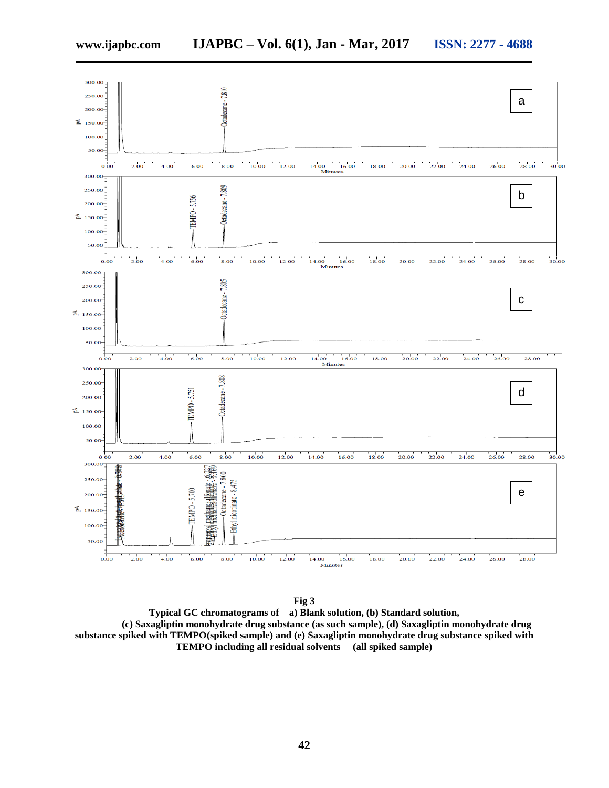

**Fig 3 Typical GC chromatograms of a) Blank solution, (b) Standard solution, (c) Saxagliptin monohydrate drug substance (as such sample), (d) Saxagliptin monohydrate drug substance spiked with TEMPO(spiked sample) and (e) Saxagliptin monohydrate drug substance spiked with TEMPO including all residual solvents (all spiked sample)**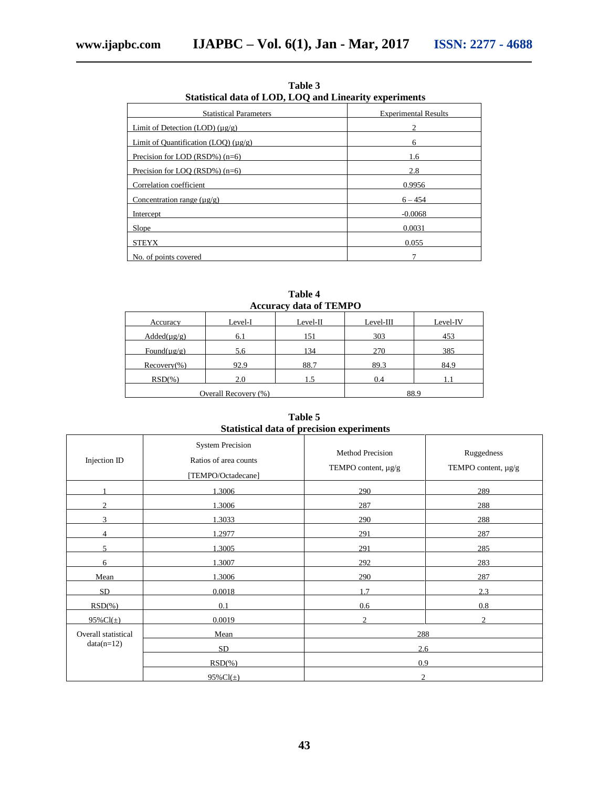| Statistical data of LOD, LOQ and Linearity experiments  |                             |  |  |
|---------------------------------------------------------|-----------------------------|--|--|
| <b>Statistical Parameters</b>                           | <b>Experimental Results</b> |  |  |
| Limit of Detection (LOD) $(\mu g/g)$                    |                             |  |  |
| Limit of Quantification (LOO) $(\mu \varrho / \varrho)$ | 6                           |  |  |
| Precision for LOD (RSD%) $(n=6)$                        | 1.6                         |  |  |
| Precision for LOO (RSD%) $(n=6)$                        | 2.8                         |  |  |
| Correlation coefficient                                 | 0.9956                      |  |  |
| Concentration range $(\mu \varrho / g)$                 | $6 - 454$                   |  |  |
| Intercept                                               | $-0.0068$                   |  |  |
| Slope                                                   | 0.0031                      |  |  |
| <b>STEYX</b>                                            | 0.055                       |  |  |
| No. of points covered                                   |                             |  |  |

**Table 3**

| <b>Accuracy data of TEMPO</b>         |         |          |           |          |  |
|---------------------------------------|---------|----------|-----------|----------|--|
| Accuracy                              | Level-I | Level-II | Level-III | Level-IV |  |
| $\text{Added}(\mu \text{g}/\text{g})$ | 6.1     | 151      | 303       | 453      |  |
| Found( $\mu$ g/g)                     | 5.6     | 134      | 270       | 385      |  |
| $Recovery(\% )$                       | 92.9    | 88.7     | 89.3      | 84.9     |  |
| $RSD(\% )$                            | 2.0     | 1.5      | 0.4       |          |  |
| Overall Recovery (%)                  |         |          |           | 88.9     |  |

**Table 4**

**Table 5 Statistical data of precision experiments**

| Injection ID                | <b>System Precision</b><br>Ratios of area counts<br>[TEMPO/Octadecane] | Method Precision<br>TEMPO content, µg/g | Ruggedness<br>TEMPO content, µg/g |  |
|-----------------------------|------------------------------------------------------------------------|-----------------------------------------|-----------------------------------|--|
|                             | 1.3006                                                                 | 290                                     | 289                               |  |
| $\mathcal{D}_{\mathcal{L}}$ | 1.3006                                                                 | 287                                     | 288                               |  |
| 3                           | 1.3033                                                                 | 290                                     | 288                               |  |
| 4                           | 1.2977                                                                 | 291                                     | 287                               |  |
| 5                           | 1.3005                                                                 | 291                                     | 285                               |  |
| 6                           | 1.3007                                                                 | 292                                     | 283                               |  |
| Mean                        | 1.3006                                                                 | 290                                     | 287                               |  |
| <b>SD</b>                   | 0.0018                                                                 | 1.7                                     | 2.3                               |  |
| $RSD(\% )$                  | 0.1                                                                    | 0.6                                     | 0.8                               |  |
| $95\%$ Cl( $\pm$ )          | 0.0019                                                                 | $\overline{c}$                          | $\overline{c}$                    |  |
| Overall statistical         | Mean                                                                   | 288                                     |                                   |  |
| $data(n=12)$                | <b>SD</b>                                                              | 2.6                                     |                                   |  |
|                             | $RSD(\% )$                                                             | 0.9                                     |                                   |  |
|                             | $95\%$ Cl( $\pm$ )                                                     | $\overline{c}$                          |                                   |  |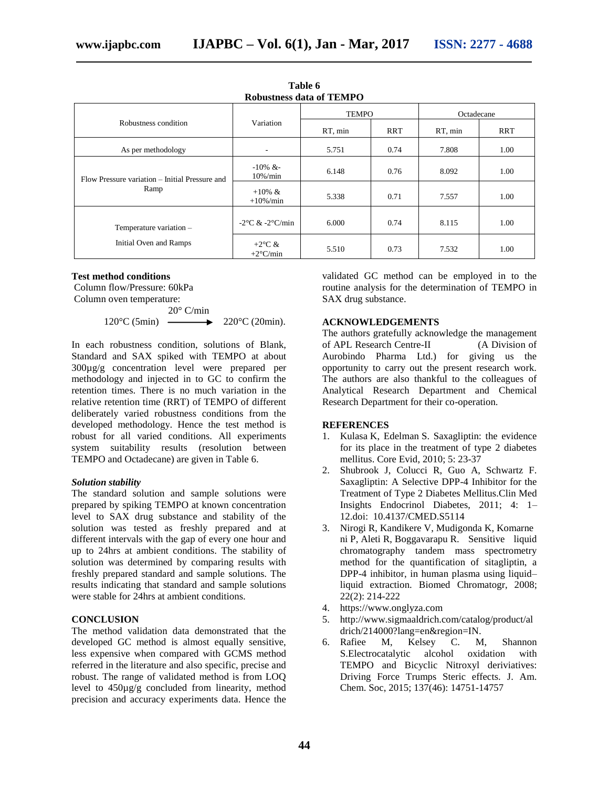| <b>Robustness data of TEMPO</b>                        |                                             |              |            |            |            |  |
|--------------------------------------------------------|---------------------------------------------|--------------|------------|------------|------------|--|
|                                                        | Variation                                   | <b>TEMPO</b> |            | Octadecane |            |  |
| Robustness condition                                   |                                             | RT, min      | <b>RRT</b> | RT, min    | <b>RRT</b> |  |
| As per methodology                                     | ۰                                           | 5.751        | 0.74       | 7.808      | 1.00       |  |
| Flow Pressure variation – Initial Pressure and<br>Ramp | $-10\%$ &-<br>$10\% / min$                  | 6.148        | 0.76       | 8.092      | 1.00       |  |
|                                                        | $+10\% \&$<br>$+10\% / min$                 | 5.338        | 0.71       | 7.557      | 1.00       |  |
| Temperature variation -                                | $-2$ °C & $-2$ °C/min                       | 6.000        | 0.74       | 8.115      | 1.00       |  |
| Initial Oven and Ramps                                 | +2 $\rm{^{\circ}C}$ &<br>$+2^{\circ}$ C/min | 5.510        | 0.73       | 7.532      | 1.00       |  |

**Table 6** 

#### **Test method conditions**

Column flow/Pressure: 60kPa Column oven temperature:

 $20^{\circ}$  C/min 120 $\degree$ C (5min)  $\longrightarrow$  220 $\degree$ C (20min).

In each robustness condition, solutions of Blank, Standard and SAX spiked with TEMPO at about 300µg/g concentration level were prepared per methodology and injected in to GC to confirm the retention times. There is no much variation in the relative retention time (RRT) of TEMPO of different deliberately varied robustness conditions from the developed methodology. Hence the test method is robust for all varied conditions. All experiments system suitability results (resolution between TEMPO and Octadecane) are given in Table 6.

# *Solution stability*

The standard solution and sample solutions were prepared by spiking TEMPO at known concentration level to SAX drug substance and stability of the solution was tested as freshly prepared and at different intervals with the gap of every one hour and up to 24hrs at ambient conditions. The stability of solution was determined by comparing results with freshly prepared standard and sample solutions. The results indicating that standard and sample solutions were stable for 24hrs at ambient conditions.

# **CONCLUSION**

The method validation data demonstrated that the developed GC method is almost equally sensitive, less expensive when compared with GCMS method referred in the literature and also specific, precise and robust. The range of validated method is from LOQ level to 450µg/g concluded from linearity, method precision and accuracy experiments data. Hence the validated GC method can be employed in to the routine analysis for the determination of TEMPO in SAX drug substance.

## **ACKNOWLEDGEMENTS**

The authors gratefully acknowledge the management of APL Research Centre-II (A Division of Aurobindo Pharma Ltd.) for giving us the opportunity to carry out the present research work. The authors are also thankful to the colleagues of Analytical Research Department and Chemical Research Department for their co-operation.

#### **REFERENCES**

- 1. Kulasa K, Edelman S. Saxagliptin: the evidence for its place in the treatment of type 2 diabetes mellitus. Core Evid, 2010; 5: 23-37
- 2. [Shubrook](http://www.ncbi.nlm.nih.gov/pubmed/?term=Shubrook%20J%5Bauth%5D) J, [Colucci](http://www.ncbi.nlm.nih.gov/pubmed/?term=Colucci%20R%5Bauth%5D) R, [Guo](http://www.ncbi.nlm.nih.gov/pubmed/?term=Guo%20A%5Bauth%5D) A, [Schwartz](http://www.ncbi.nlm.nih.gov/pubmed/?term=Schwartz%20F%5Bauth%5D) F. Saxagliptin: A Selective DPP-4 Inhibitor for the Treatment of Type 2 Diabetes Mellitus.Clin Med Insights Endocrinol Diabetes, 2011; 4: 1– 12.doi: [10.4137/CMED.S5114](http://dx.doi.org/10.4137%2FCMED.S5114)
- 3. Nirogi R, Kandikere V, Mudigonda K, Komarne ni P, Aleti R, Boggavarapu R. Sensitive liquid chromatography tandem mass spectrometry method for the quantification of sitagliptin, a DPP-4 inhibitor, in human plasma using liquid– liquid extraction. Biomed Chromatogr, 2008; 22(2): 214-222
- 4. [https://www.onglyza.com](https://www.onglyza.com/)
- 5. [http://www.sigmaaldrich.com/catalog/product/al](http://www.sigmaaldrich.com/catalog/product/aldrich/214000?lang=en®ion=IN)  $drich/214000$ ?lang=en&region=IN.
- 6. Rafiee M, Kelsey C. M, Shannon S.Electrocatalytic alcohol oxidation with TEMPO and Bicyclic Nitroxyl deriviatives: Driving Force Trumps Steric effects. J. Am. Chem. Soc, 2015; 137(46): 14751-14757